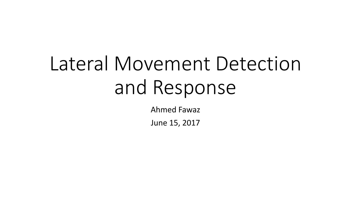# Lateral Movement Detection and Response

Ahmed Fawaz

June 15, 2017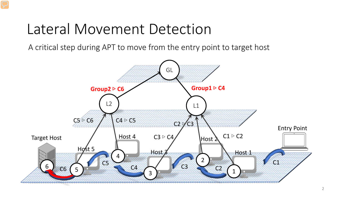#### Lateral Movement Detection

A critical step during APT to move from the entry point to target host

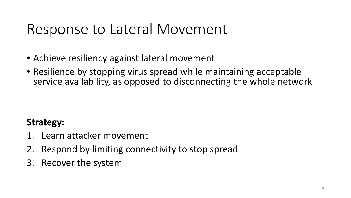### Response to Lateral Movement

- Achieve resiliency against lateral movement
- Resilience by stopping virus spread while maintaining acceptable service availability, as opposed to disconnecting the whole network

#### **Strategy:**

- 1. Learn attacker movement
- 2. Respond by limiting connectivity to stop spread
- 3. Recover the system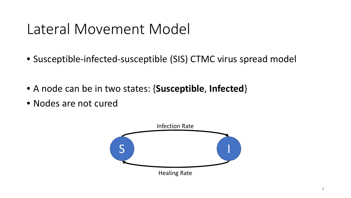#### Lateral Movement Model

- Susceptible-infected-susceptible (SIS) CTMC virus spread model
- A node can be in two states: {**Susceptible**, **Infected**}
- Nodes are not cured

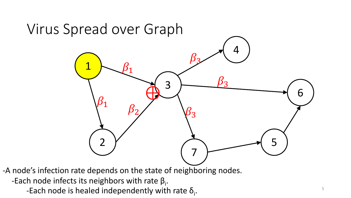

-Each node is healed independently with rate  $\delta_i$ .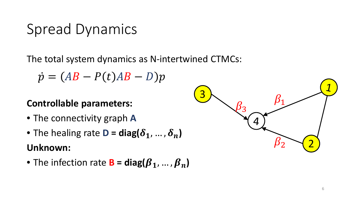#### Spread Dynamics

The total system dynamics as N-intertwined CTMCs:

 $\dot{p} = (AB - P(t)AB - D)p$ 

#### **Controllable parameters:**

- The connectivity graph **A**
- The healing rate **D** =  $diag(\delta_1, ..., \delta_n)$ **Unknown:**
- The infection rate **B** =  $diag(\beta_1, ..., \beta_n)$

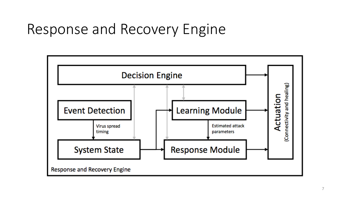### Response and Recovery Engine

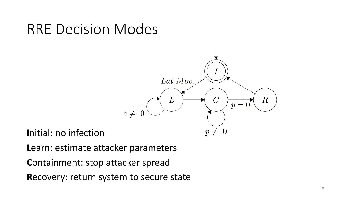#### RRE Decision Modes



**I**nitial: no infection

**L**earn: estimate attacker parameters

**C**ontainment: stop attacker spread

**R**ecovery: return system to secure state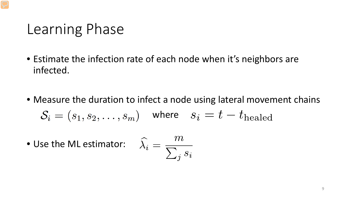#### Learning Phase

- Estimate the infection rate of each node when it's neighbors are infected.
- Measure the duration to infect a node using lateral movement chains  $S_i = (s_1, s_2, \ldots, s_m)$  where  $s_i = t - t_{\text{healed}}$
- Use the ML estimator:  $\lambda$

$$
\widehat{\varsigma}_i = \frac{m}{\sum_j s_i}
$$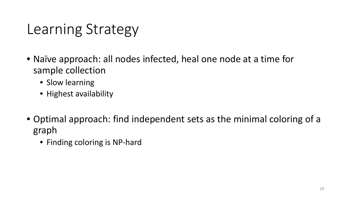### Learning Strategy

- Naïve approach: all nodes infected, heal one node at a time for sample collection
	- Slow learning
	- Highest availability
- Optimal approach: find independent sets as the minimal coloring of a graph
	- Finding coloring is NP-hard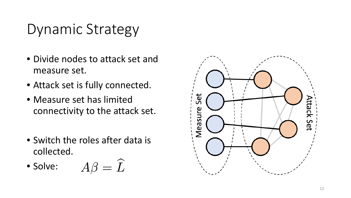## Dynamic Strategy

- Divide nodes to attack set and measure set.
- Attack set is fully connected.
- Measure set has limited connectivity to the attack set.
- Switch the roles after data is collected.

• Solve: 
$$
A\beta = \widehat{L}
$$

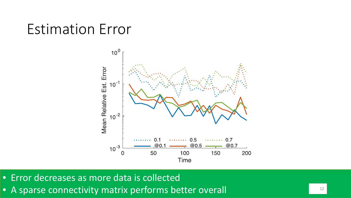#### Estimation Error



- Error decreases as more data is collected
- A sparse connectivity matrix performs better overall **12** 12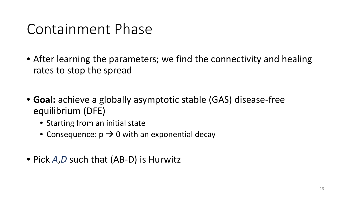#### Containment Phase

- After learning the parameters; we find the connectivity and healing rates to stop the spread
- **Goal:** achieve a globally asymptotic stable (GAS) disease-free equilibrium (DFE)
	- Starting from an initial state
	- Consequence:  $p \rightarrow 0$  with an exponential decay
- Pick *A*,*D* such that (AB-D) is Hurwitz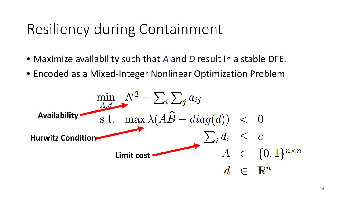## Resiliency during Containment

- Maximize availability such that *A* and *D* result in a stable DFE.
- Encoded as a Mixed-Integer Nonlinear Optimization Problem

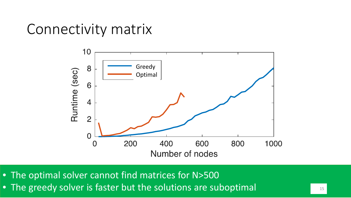#### Connectivity matrix



• The optimal solver cannot find matrices for N>500

• The greedy solver is faster but the solutions are suboptimal The state of the solutions are suboptimal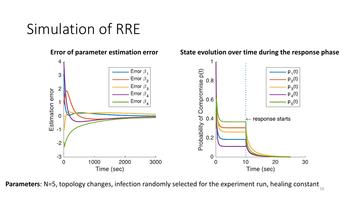#### Simulation of RRE



**Parameters**: N=5, topology changes, infection randomly selected for the experiment run, healing constant 16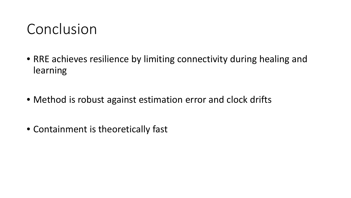#### Conclusion

- RRE achieves resilience by limiting connectivity during healing and learning
- Method is robust against estimation error and clock drifts
- Containment is theoretically fast